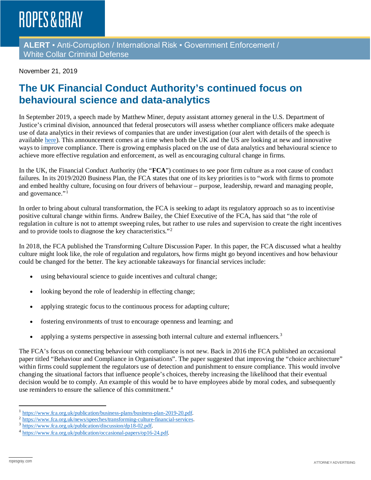# **ROPES & GRAY**

**ALERT** ▪ Anti-Corruption / International Risk ▪ Government Enforcement / White Collar Criminal Defense

November 21, 2019

### **The UK Financial Conduct Authority's continued focus on behavioural science and data-analytics**

In September 2019, a speech made by Matthew Miner, deputy assistant attorney general in the U.S. Department of Justice's criminal division, announced that federal prosecutors will assess whether compliance officers make adequate use of data analytics in their reviews of companies that are under investigation (our alert with details of the speech is available [here\)](https://www.ropesgray.com/en/newsroom/alerts/2019/09/DOJ-Insight-into-Role-of-Data-Analytics-in-Prosecutions-and-Risk-Management). This announcement comes at a time when both the UK and the US are looking at new and innovative ways to improve compliance. There is growing emphasis placed on the use of data analytics and behavioural science to achieve more effective regulation and enforcement, as well as encouraging cultural change in firms.

In the UK, the Financial Conduct Authority (the "**FCA**") continues to see poor firm culture as a root cause of conduct failures. In its 2019/2020 Business Plan, the FCA states that one of its key priorities is to "work with firms to promote and embed healthy culture, focusing on four drivers of behaviour – purpose, leadership, reward and managing people, and governance."<sup>[1](#page-0-0)</sup>

In order to bring about cultural transformation, the FCA is seeking to adapt its regulatory approach so as to incentivise positive cultural change within firms. Andrew Bailey, the Chief Executive of the FCA, has said that "the role of regulation in culture is not to attempt sweeping rules, but rather to use rules and supervision to create the right incentives and to provide tools to diagnose the key characteristics."[2](#page-0-1)

In 2018, the FCA published the Transforming Culture Discussion Paper. In this paper, the FCA discussed what a healthy culture might look like, the role of regulation and regulators, how firms might go beyond incentives and how behaviour could be changed for the better. The key actionable takeaways for financial services include:

- using behavioural science to guide incentives and cultural change;
- looking beyond the role of leadership in effecting change;
- applying strategic focus to the continuous process for adapting culture;
- fostering environments of trust to encourage openness and learning; and
- applying a systems perspective in assessing both internal culture and external influencers.<sup>[3](#page-0-2)</sup>

The FCA's focus on connecting behaviour with compliance is not new. Back in 2016 the FCA published an occasional paper titled "Behaviour and Compliance in Organisations". The paper suggested that improving the "choice architecture" within firms could supplement the regulators use of detection and punishment to ensure compliance. This would involve changing the situational factors that influence people's choices, thereby increasing the likelihood that their eventual decision would be to comply. An example of this would be to have employees abide by moral codes, and subsequently use reminders to ensure the salience of this commitment.<sup>[4](#page-0-3)</sup>

<span id="page-0-0"></span> <sup>1</sup> [https://www.fca.org.uk/publication/business-plans/business-plan-2019-20.pdf.](https://www.fca.org.uk/publication/business-plans/business-plan-2019-20.pdf)

<span id="page-0-1"></span><sup>2</sup> [https://www.fca.org.uk/news/speeches/transforming-culture-financial-services.](https://www.fca.org.uk/news/speeches/transforming-culture-financial-services)

<span id="page-0-2"></span><sup>3</sup> [https://www.fca.org.uk/publication/discussion/dp18-02.pdf.](https://www.fca.org.uk/publication/discussion/dp18-02.pdf)

<span id="page-0-3"></span><sup>4</sup> [https://www.fca.org.uk/publication/occasional-papers/op16-24.pdf.](https://www.fca.org.uk/publication/occasional-papers/op16-24.pdf)